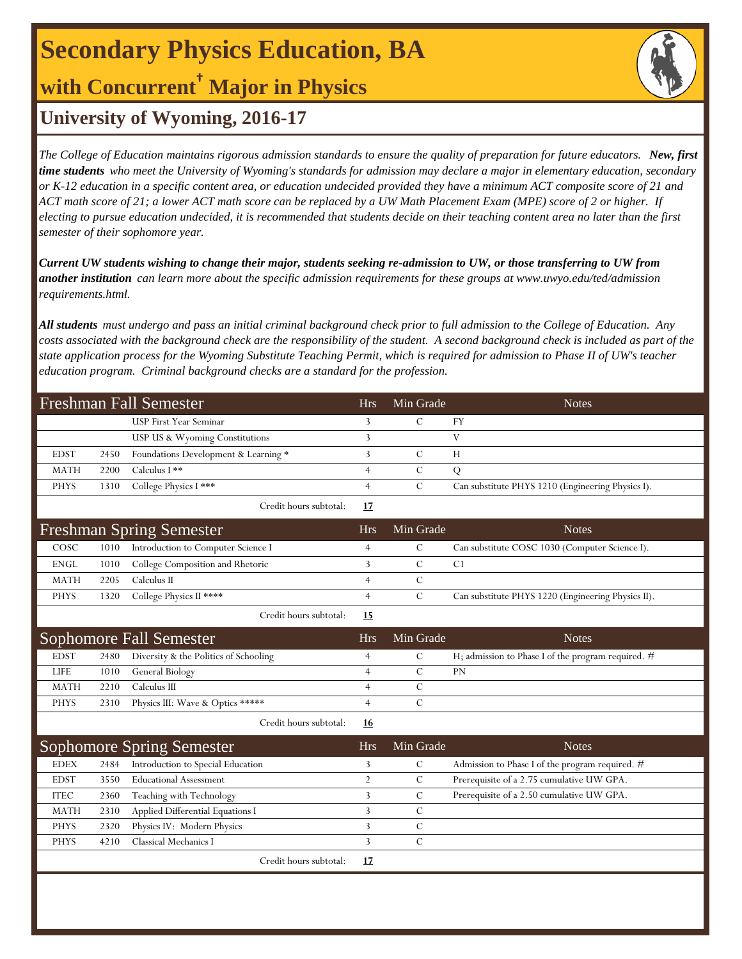# **Secondary Physics Education, BA**

## **with Concurrent† Major in Physics**



### **University of Wyoming, 2016-17**

*The College of Education maintains rigorous admission standards to ensure the quality of preparation for future educators. New, first time students who meet the University of Wyoming's standards for admission may declare a major in elementary education, secondary or K-12 education in a specific content area, or education undecided provided they have a minimum ACT composite score of 21 and ACT math score of 21; a lower ACT math score can be replaced by a UW Math Placement Exam (MPE) score of 2 or higher. If electing to pursue education undecided, it is recommended that students decide on their teaching content area no later than the first semester of their sophomore year.*

*Current UW students wishing to change their major, students seeking re-admission to UW, or those transferring to UW from another institution can learn more about the specific admission requirements for these groups at www.uwyo.edu/ted/admission requirements.html.* 

*All students must undergo and pass an initial criminal background check prior to full admission to the College of Education. Any costs associated with the background check are the responsibility of the student. A second background check is included as part of the state application process for the Wyoming Substitute Teaching Permit, which is required for admission to Phase II of UW's teacher education program. Criminal background checks are a standard for the profession.*

| <b>Freshman Fall Semester</b> |      |                                       | <b>Hrs</b>     | Min Grade     | <b>Notes</b>                                       |
|-------------------------------|------|---------------------------------------|----------------|---------------|----------------------------------------------------|
|                               |      | <b>USP First Year Seminar</b>         | 3              | $\mathcal{C}$ | <b>FY</b>                                          |
|                               |      | USP US & Wyoming Constitutions        | 3              |               | V                                                  |
| <b>EDST</b>                   | 2450 | Foundations Development & Learning *  | 3              | $\mathcal{C}$ | H                                                  |
| <b>MATH</b>                   | 2200 | Calculus I **                         | $\overline{4}$ | $\mathcal{C}$ | Q                                                  |
| <b>PHYS</b>                   | 1310 | College Physics I ***                 | $\overline{4}$ | $\mathbf C$   | Can substitute PHYS 1210 (Engineering Physics I).  |
|                               |      | Credit hours subtotal:                | 17             |               |                                                    |
|                               |      | <b>Freshman Spring Semester</b>       | <b>Hrs</b>     | Min Grade     | <b>Notes</b>                                       |
| COSC                          | 1010 | Introduction to Computer Science I    | $\overline{4}$ | $\mathcal{C}$ | Can substitute COSC 1030 (Computer Science I).     |
| <b>ENGL</b>                   | 1010 | College Composition and Rhetoric      | 3              | $\mathcal{C}$ | C1                                                 |
| <b>MATH</b>                   | 2205 | Calculus II                           | $\overline{4}$ | $\mathbf C$   |                                                    |
| <b>PHYS</b>                   | 1320 | College Physics II ****               | $\overline{4}$ | $\mathcal{C}$ | Can substitute PHYS 1220 (Engineering Physics II). |
|                               |      | Credit hours subtotal:                | 15             |               |                                                    |
|                               |      | <b>Sophomore Fall Semester</b>        | <b>Hrs</b>     | Min Grade     | <b>Notes</b>                                       |
| <b>EDST</b>                   | 2480 | Diversity & the Politics of Schooling | $\overline{4}$ | $\mathbf C$   | H; admission to Phase I of the program required. # |
| <b>LIFE</b>                   | 1010 | General Biology                       | $\overline{4}$ | $\mathbf C$   | PN                                                 |
| <b>MATH</b>                   | 2210 | Calculus III                          | $\overline{4}$ | $\mathcal{C}$ |                                                    |
| <b>PHYS</b>                   | 2310 | Physics III: Wave & Optics *****      | $\overline{4}$ | $\mathbf C$   |                                                    |
|                               |      | Credit hours subtotal:                | 16             |               |                                                    |
|                               |      | <b>Sophomore Spring Semester</b>      | <b>Hrs</b>     | Min Grade     | <b>Notes</b>                                       |
| <b>EDEX</b>                   | 2484 | Introduction to Special Education     | 3              | $\mathcal{C}$ | Admission to Phase I of the program required. #    |
| <b>EDST</b>                   | 3550 | <b>Educational Assessment</b>         | $\overline{2}$ | $\mathbf C$   | Prerequisite of a 2.75 cumulative UW GPA.          |
| <b>ITEC</b>                   | 2360 | Teaching with Technology              | 3              | $\mathcal{C}$ | Prerequisite of a 2.50 cumulative UW GPA.          |
| <b>MATH</b>                   | 2310 | Applied Differential Equations I      | 3              | $\mathcal{C}$ |                                                    |
| <b>PHYS</b>                   | 2320 | Physics IV: Modern Physics            | 3              | $\mathbf C$   |                                                    |
| <b>PHYS</b>                   | 4210 | Classical Mechanics I                 | 3              | $\mathcal{C}$ |                                                    |
|                               |      | Credit hours subtotal:                | 17             |               |                                                    |
|                               |      |                                       |                |               |                                                    |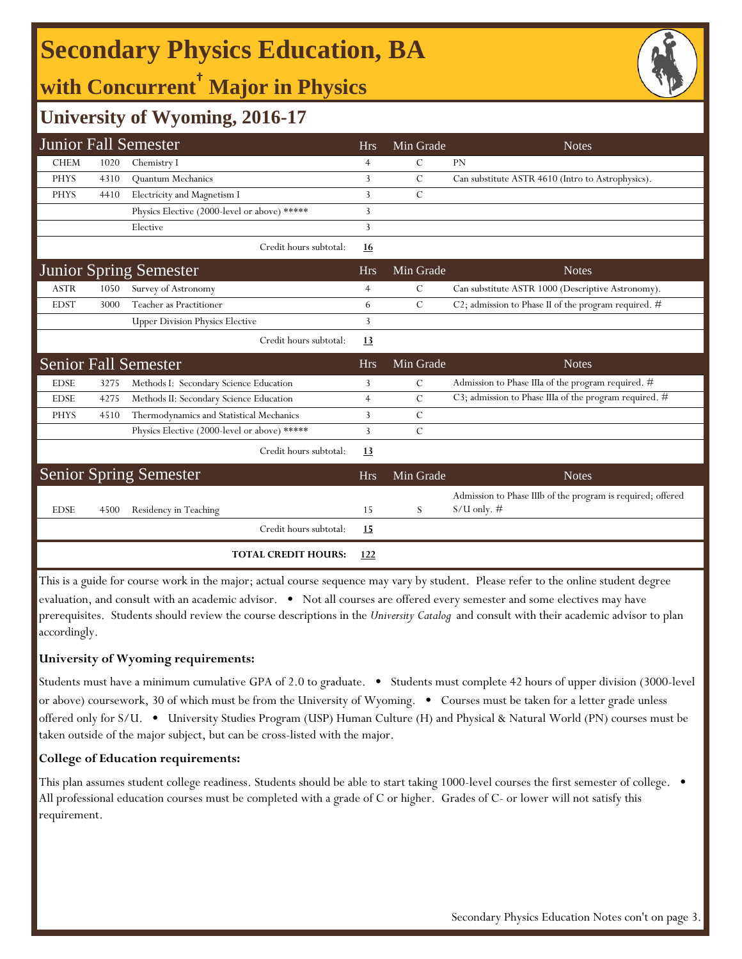# **Secondary Physics Education, BA**

## **with Concurrent† Major in Physics**



## **University of Wyoming, 2016-17**

|             |      | <b>Junior Fall Semester</b>                  | <b>Hrs</b>     | Min Grade     | <b>Notes</b>                                                                 |
|-------------|------|----------------------------------------------|----------------|---------------|------------------------------------------------------------------------------|
| <b>CHEM</b> | 1020 | Chemistry I                                  | 4              | С             | PN                                                                           |
| <b>PHYS</b> | 4310 | Quantum Mechanics                            | 3              | $\mathcal{C}$ | Can substitute ASTR 4610 (Intro to Astrophysics).                            |
| <b>PHYS</b> | 4410 | Electricity and Magnetism I                  | 3              | $\mathcal{C}$ |                                                                              |
|             |      | Physics Elective (2000-level or above) ***** | 3              |               |                                                                              |
|             |      | Elective                                     | 3              |               |                                                                              |
|             |      | Credit hours subtotal:                       | <u>16</u>      |               |                                                                              |
|             |      | <b>Junior Spring Semester</b>                | <b>Hrs</b>     | Min Grade     | <b>Notes</b>                                                                 |
| <b>ASTR</b> | 1050 | Survey of Astronomy                          | $\overline{4}$ | $\mathcal{C}$ | Can substitute ASTR 1000 (Descriptive Astronomy).                            |
| <b>EDST</b> | 3000 | Teacher as Practitioner                      | 6              | $\mathcal{C}$ | C2; admission to Phase II of the program required. $#$                       |
|             |      | <b>Upper Division Physics Elective</b>       | 3              |               |                                                                              |
|             |      | Credit hours subtotal:                       | 13             |               |                                                                              |
|             |      | <b>Senior Fall Semester</b>                  | <b>Hrs</b>     | Min Grade     | <b>Notes</b>                                                                 |
| <b>EDSE</b> | 3275 | Methods I: Secondary Science Education       | 3              | $\mathcal{C}$ | Admission to Phase IIIa of the program required. #                           |
| <b>EDSE</b> | 4275 | Methods II: Secondary Science Education      | $\overline{4}$ | $\mathcal{C}$ | C3; admission to Phase IIIa of the program required. #                       |
| <b>PHYS</b> | 4510 | Thermodynamics and Statistical Mechanics     | 3              | $\mathcal{C}$ |                                                                              |
|             |      | Physics Elective (2000-level or above) ***** | 3              | $\mathcal{C}$ |                                                                              |
|             |      | Credit hours subtotal:                       | 13             |               |                                                                              |
|             |      | <b>Senior Spring Semester</b>                | <b>Hrs</b>     | Min Grade     | <b>Notes</b>                                                                 |
| <b>EDSE</b> | 4500 | Residency in Teaching                        | 15             | S             | Admission to Phase IIIb of the program is required; offered<br>$S/U$ only. # |
|             |      | Credit hours subtotal:                       | <u>15</u>      |               |                                                                              |
|             |      | <b>TOTAL CREDIT HOURS:</b>                   | <u>122</u>     |               |                                                                              |

This is a guide for course work in the major; actual course sequence may vary by student. Please refer to the online student degree evaluation, and consult with an academic advisor. • Not all courses are offered every semester and some electives may have prerequisites. Students should review the course descriptions in the *University Catalog* and consult with their academic advisor to plan accordingly.

#### **University of Wyoming requirements:**

Students must have a minimum cumulative GPA of 2.0 to graduate. • Students must complete 42 hours of upper division (3000-level or above) coursework, 30 of which must be from the University of Wyoming. • Courses must be taken for a letter grade unless offered only for S/U. • University Studies Program (USP) Human Culture (H) and Physical & Natural World (PN) courses must be taken outside of the major subject, but can be cross-listed with the major.

#### **College of Education requirements:**

This plan assumes student college readiness. Students should be able to start taking 1000-level courses the first semester of college. • All professional education courses must be completed with a grade of C or higher. Grades of C- or lower will not satisfy this requirement.